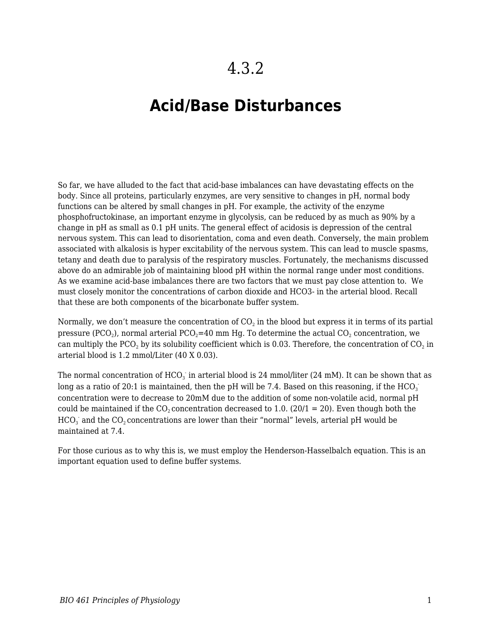## **Acid/Base Disturbances**

So far, we have alluded to the fact that acid-base imbalances can have devastating effects on the body. Since all proteins, particularly enzymes, are very sensitive to changes in pH, normal body functions can be altered by small changes in pH. For example, the activity of the enzyme phosphofructokinase, an important enzyme in glycolysis, can be reduced by as much as 90% by a change in pH as small as 0.1 pH units. The general effect of acidosis is depression of the central nervous system. This can lead to disorientation, coma and even death. Conversely, the main problem associated with alkalosis is hyper excitability of the nervous system. This can lead to muscle spasms, tetany and death due to paralysis of the respiratory muscles. Fortunately, the mechanisms discussed above do an admirable job of maintaining blood pH within the normal range under most conditions. As we examine acid-base imbalances there are two factors that we must pay close attention to. We must closely monitor the concentrations of carbon dioxide and HCO3- in the arterial blood. Recall that these are both components of the bicarbonate buffer system.

Normally, we don't measure the concentration of CO $_2$  in the blood but express it in terms of its partial pressure (PCO $_2$ ), normal arterial PCO $_2$ =40 mm Hg. To determine the actual CO $_2$  concentration, we can multiply the PCO $_2$  by its solubility coefficient which is 0.03. Therefore, the concentration of CO $_2$  in arterial blood is 1.2 mmol/Liter (40 X 0.03).

The normal concentration of HCO $_3^{\cdot}$  in arterial blood is 24 mmol/liter (24 mM). It can be shown that as long as a ratio of 20:1 is maintained, then the pH will be 7.4. Based on this reasoning, if the HCO $_3^$ concentration were to decrease to 20mM due to the addition of some non-volatile acid, normal pH could be maintained if the  $CO_2$  concentration decreased to 1.0. (20/1 = 20). Even though both the  $\mathrm{HCO}_3^+$  and the  $\mathrm{CO}_2$  concentrations are lower than their "normal" levels, arterial pH would be maintained at 7.4.

For those curious as to why this is, we must employ the Henderson-Hasselbalch equation. This is an important equation used to define buffer systems.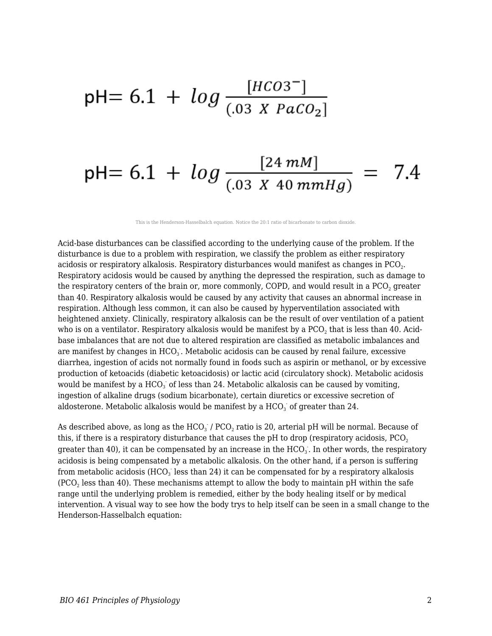## pH= 6.1 +  $log \frac{[HCO3^{-}]}{(.03 \text{ X} PacO_2)}$

## pH= 6.1 +  $log \frac{[24 \text{ mM}]}{(.03 \text{ X } 40 \text{ mmHg})}$  = 7.4

This is the Henderson-Hasselbalch equation. Notice the 20:1 ratio of bicarbonate to carbon dioxide.

Acid-base disturbances can be classified according to the underlying cause of the problem. If the disturbance is due to a problem with respiration, we classify the problem as either respiratory acidosis or respiratory alkalosis. Respiratory disturbances would manifest as changes in PCO $_{\textrm{\tiny{2}}}$ . Respiratory acidosis would be caused by anything the depressed the respiration, such as damage to the respiratory centers of the brain or, more commonly, COPD, and would result in a PCO $_2$  greater than 40. Respiratory alkalosis would be caused by any activity that causes an abnormal increase in respiration. Although less common, it can also be caused by hyperventilation associated with heightened anxiety. Clinically, respiratory alkalosis can be the result of over ventilation of a patient who is on a ventilator. Respiratory alkalosis would be manifest by a PCO $_2$  that is less than 40. Acidbase imbalances that are not due to altered respiration are classified as metabolic imbalances and are manifest by changes in  $\mathrm{HCO}_3$  . Metabolic acidosis can be caused by renal failure, excessive diarrhea, ingestion of acids not normally found in foods such as aspirin or methanol, or by excessive production of ketoacids (diabetic ketoacidosis) or lactic acid (circulatory shock). Metabolic acidosis would be manifest by a  $HCO<sub>3</sub>$  of less than 24. Metabolic alkalosis can be caused by vomiting, ingestion of alkaline drugs (sodium bicarbonate), certain diuretics or excessive secretion of aldosterone. Metabolic alkalosis would be manifest by a  $\mathrm{HCO}_3^+$  of greater than  $24.$ 

As described above, as long as the  $\mathrm{HCO}_3^+$  /  $\mathrm{PCO}_2$  ratio is 20, arterial pH will be normal. Because of this, if there is a respiratory disturbance that causes the pH to drop (respiratory acidosis,  $PCO<sub>2</sub>$ ) greater than 40), it can be compensated by an increase in the  $\mathrm{HCO}_3$  . In other words, the respiratory acidosis is being compensated by a metabolic alkalosis. On the other hand, if a person is suffering from metabolic acidosis (HCO $_3^{\cdot}$  less than 24) it can be compensated for by a respiratory alkalosis (PCO $_{\rm 2}$  less than 40). These mechanisms attempt to allow the body to maintain pH within the safe range until the underlying problem is remedied, either by the body healing itself or by medical intervention. A visual way to see how the body trys to help itself can be seen in a small change to the Henderson-Hasselbalch equation: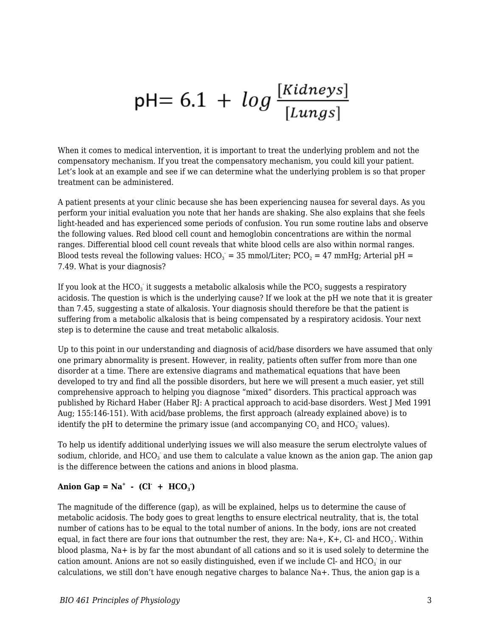# pH= 6.1 +  $log \frac{[Kidneys]}{[Lungs]}$

When it comes to medical intervention, it is important to treat the underlying problem and not the compensatory mechanism. If you treat the compensatory mechanism, you could kill your patient. Let's look at an example and see if we can determine what the underlying problem is so that proper treatment can be administered.

A patient presents at your clinic because she has been experiencing nausea for several days. As you perform your initial evaluation you note that her hands are shaking. She also explains that she feels light-headed and has experienced some periods of confusion. You run some routine labs and observe the following values. Red blood cell count and hemoglobin concentrations are within the normal ranges. Differential blood cell count reveals that white blood cells are also within normal ranges. Blood tests reveal the following values:  $\text{HCO}_3 = 35 \text{ mmol/Liter}$ ;  $\text{PCO}_2 = 47 \text{ mmHg}$ ; Arterial pH = 7.49. What is your diagnosis?

If you look at the HCO $_3^{\cdot}$  it suggests a metabolic alkalosis while the PCO $_2$  suggests a respiratory acidosis. The question is which is the underlying cause? If we look at the pH we note that it is greater than 7.45, suggesting a state of alkalosis. Your diagnosis should therefore be that the patient is suffering from a metabolic alkalosis that is being compensated by a respiratory acidosis. Your next step is to determine the cause and treat metabolic alkalosis.

Up to this point in our understanding and diagnosis of acid/base disorders we have assumed that only one primary abnormality is present. However, in reality, patients often suffer from more than one disorder at a time. There are extensive diagrams and mathematical equations that have been developed to try and find all the possible disorders, but here we will present a much easier, yet still comprehensive approach to helping you diagnose "mixed" disorders. This practical approach was published by Richard Haber (Haber RJ: A practical approach to acid-base disorders. West J Med 1991 Aug; 155:146-151). With acid/base problems, the first approach (already explained above) is to identify the pH to determine the primary issue (and accompanying  $\mathrm{CO}_2$  and  $\mathrm{HCO}_3^+$  values).

To help us identify additional underlying issues we will also measure the serum electrolyte values of sodium, chloride, and HCO $_3^{\cdot}$  and use them to calculate a value known as the anion gap. The anion gap is the difference between the cations and anions in blood plasma.

#### Anion Gap =  $\text{Na}^+$  - (Cl + HCO<sub>3</sub>)

The magnitude of the difference (gap), as will be explained, helps us to determine the cause of metabolic acidosis. The body goes to great lengths to ensure electrical neutrality, that is, the total number of cations has to be equal to the total number of anions. In the body, ions are not created equal, in fact there are four ions that outnumber the rest, they are: Na+, K+, Cl- and HCO<sub>3</sub>. Within blood plasma, Na+ is by far the most abundant of all cations and so it is used solely to determine the cation amount. Anions are not so easily distinguished, even if we include Cl- and  $\mathrm{HCO}_3^+$  in our calculations, we still don't have enough negative charges to balance Na+. Thus, the anion gap is a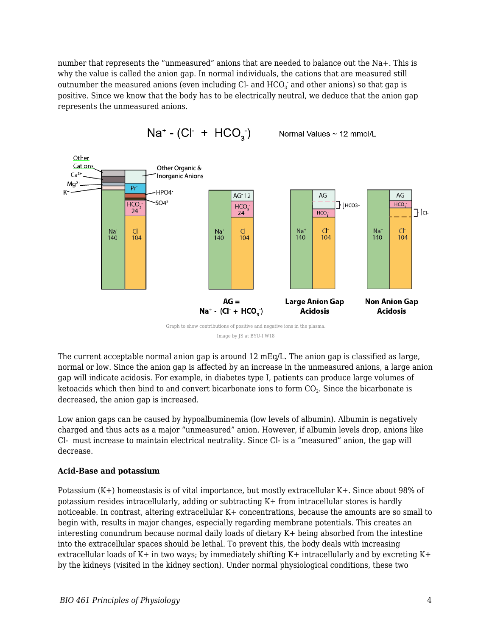number that represents the "unmeasured" anions that are needed to balance out the Na+. This is why the value is called the anion gap. In normal individuals, the cations that are measured still outnumber the measured anions (even including Cl- and  $\mathrm{HCO}_3^+$  and other anions) so that gap is positive. Since we know that the body has to be electrically neutral, we deduce that the anion gap represents the unmeasured anions.



 $Na^+ - (Cl^+ + HCO_3^-)$ Normal Values ~ 12 mmol/L

Image by JS at BYU-I W18

The current acceptable normal anion gap is around 12 mEq/L. The anion gap is classified as large, normal or low. Since the anion gap is affected by an increase in the unmeasured anions, a large anion gap will indicate acidosis. For example, in diabetes type I, patients can produce large volumes of ketoacids which then bind to and convert bicarbonate ions to form  $\mathrm{CO}_2.$  Since the bicarbonate is decreased, the anion gap is increased.

Low anion gaps can be caused by hypoalbuminemia (low levels of albumin). Albumin is negatively charged and thus acts as a major "unmeasured" anion. However, if albumin levels drop, anions like Cl- must increase to maintain electrical neutrality. Since Cl- is a "measured" anion, the gap will decrease.

#### **Acid-Base and potassium**

Potassium (K+) homeostasis is of vital importance, but mostly extracellular K+. Since about 98% of potassium resides intracellularly, adding or subtracting K+ from intracellular stores is hardly noticeable. In contrast, altering extracellular K+ concentrations, because the amounts are so small to begin with, results in major changes, especially regarding membrane potentials. This creates an interesting conundrum because normal daily loads of dietary K+ being absorbed from the intestine into the extracellular spaces should be lethal. To prevent this, the body deals with increasing extracellular loads of K+ in two ways; by immediately shifting K+ intracellularly and by excreting K+ by the kidneys (visited in the kidney section). Under normal physiological conditions, these two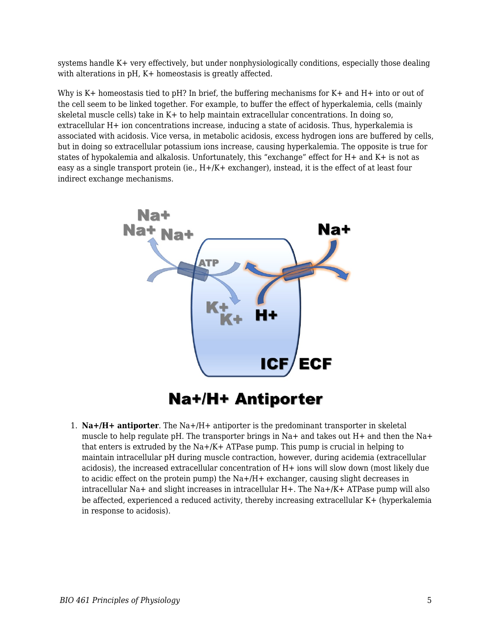systems handle K+ very effectively, but under nonphysiologically conditions, especially those dealing with alterations in pH, K+ homeostasis is greatly affected.

Why is K+ homeostasis tied to pH? In brief, the buffering mechanisms for K+ and H+ into or out of the cell seem to be linked together. For example, to buffer the effect of hyperkalemia, cells (mainly skeletal muscle cells) take in K+ to help maintain extracellular concentrations. In doing so, extracellular H+ ion concentrations increase, inducing a state of acidosis. Thus, hyperkalemia is associated with acidosis. Vice versa, in metabolic acidosis, excess hydrogen ions are buffered by cells, but in doing so extracellular potassium ions increase, causing hyperkalemia. The opposite is true for states of hypokalemia and alkalosis. Unfortunately, this "exchange" effect for H+ and K+ is not as easy as a single transport protein (ie., H+/K+ exchanger), instead, it is the effect of at least four indirect exchange mechanisms.



### **Na+/H+ Antiporter**

1. **Na+/H+ antiporter**. The Na+/H+ antiporter is the predominant transporter in skeletal muscle to help regulate pH. The transporter brings in Na+ and takes out H+ and then the Na+ that enters is extruded by the  $Na + / K + ATP$  as pump. This pump is crucial in helping to maintain intracellular pH during muscle contraction, however, during acidemia (extracellular acidosis), the increased extracellular concentration of H+ ions will slow down (most likely due to acidic effect on the protein pump) the Na+/H+ exchanger, causing slight decreases in intracellular Na+ and slight increases in intracellular H+. The Na+/K+ ATPase pump will also be affected, experienced a reduced activity, thereby increasing extracellular K+ (hyperkalemia in response to acidosis).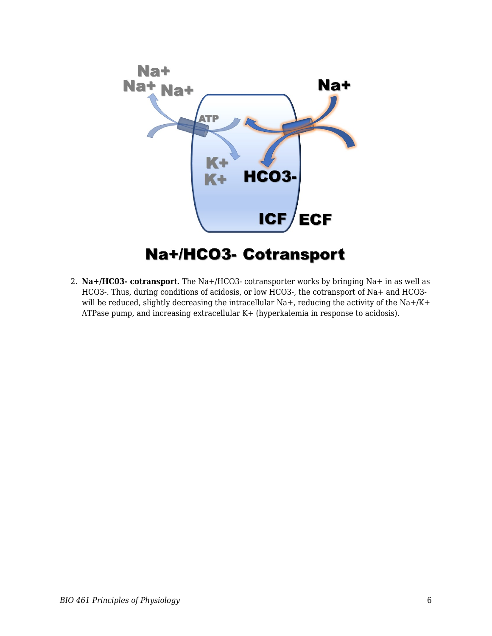

### **Na+/HCO3- Cotransport**

2. **Na+/HC03- cotransport**. The Na+/HCO3- cotransporter works by bringing Na+ in as well as HCO3-. Thus, during conditions of acidosis, or low HCO3-, the cotransport of Na+ and HCO3 will be reduced, slightly decreasing the intracellular Na+, reducing the activity of the Na+/K+ ATPase pump, and increasing extracellular K+ (hyperkalemia in response to acidosis).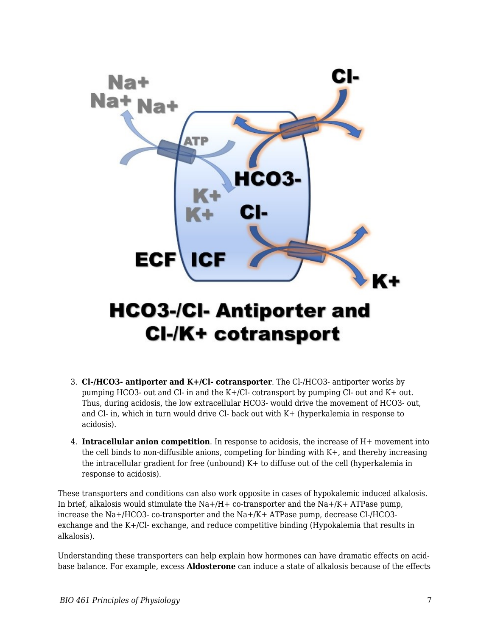

## **CI-/K+ cotransport**

- 3. **Cl-/HCO3- antiporter and K+/Cl- cotransporter**. The Cl-/HCO3- antiporter works by pumping HCO3- out and Cl- in and the K+/Cl- cotransport by pumping Cl- out and K+ out. Thus, during acidosis, the low extracellular HCO3- would drive the movement of HCO3- out, and Cl- in, which in turn would drive Cl- back out with K+ (hyperkalemia in response to acidosis).
- 4. **Intracellular anion competition**. In response to acidosis, the increase of H+ movement into the cell binds to non-diffusible anions, competing for binding with K+, and thereby increasing the intracellular gradient for free (unbound) K+ to diffuse out of the cell (hyperkalemia in response to acidosis).

These transporters and conditions can also work opposite in cases of hypokalemic induced alkalosis. In brief, alkalosis would stimulate the  $Na+/H+$  co-transporter and the  $Na+/K+$  ATPase pump, increase the Na+/HCO3- co-transporter and the Na+/K+ ATPase pump, decrease Cl-/HCO3 exchange and the K+/Cl- exchange, and reduce competitive binding (Hypokalemia that results in alkalosis).

Understanding these transporters can help explain how hormones can have dramatic effects on acidbase balance. For example, excess **Aldosterone** can induce a state of alkalosis because of the effects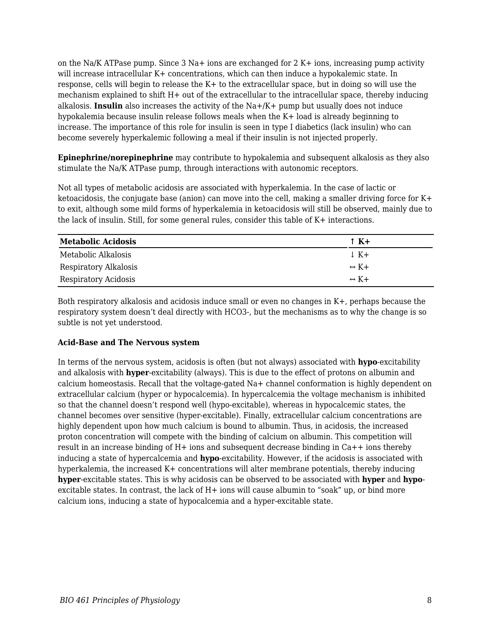on the Na/K ATPase pump. Since 3 Na+ ions are exchanged for 2 K+ ions, increasing pump activity will increase intracellular K+ concentrations, which can then induce a hypokalemic state. In response, cells will begin to release the K+ to the extracellular space, but in doing so will use the mechanism explained to shift H+ out of the extracellular to the intracellular space, thereby inducing alkalosis. **Insulin** also increases the activity of the Na+/K+ pump but usually does not induce hypokalemia because insulin release follows meals when the K+ load is already beginning to increase. The importance of this role for insulin is seen in type I diabetics (lack insulin) who can become severely hyperkalemic following a meal if their insulin is not injected properly.

**Epinephrine/norepinephrine** may contribute to hypokalemia and subsequent alkalosis as they also stimulate the Na/K ATPase pump, through interactions with autonomic receptors.

Not all types of metabolic acidosis are associated with hyperkalemia. In the case of lactic or ketoacidosis, the conjugate base (anion) can move into the cell, making a smaller driving force for K+ to exit, although some mild forms of hyperkalemia in ketoacidosis will still be observed, mainly due to the lack of insulin. Still, for some general rules, consider this table of K+ interactions.

| <b>Metabolic Acidosis</b> | $\uparrow$ K+        |
|---------------------------|----------------------|
| Metabolic Alkalosis       | $\downarrow$ K+      |
| Respiratory Alkalosis     | $\leftrightarrow$ K+ |
| Respiratory Acidosis      | $\leftrightarrow$ K+ |

Both respiratory alkalosis and acidosis induce small or even no changes in K+, perhaps because the respiratory system doesn't deal directly with HCO3-, but the mechanisms as to why the change is so subtle is not yet understood.

#### **Acid-Base and The Nervous system**

In terms of the nervous system, acidosis is often (but not always) associated with **hypo**-excitability and alkalosis with **hyper**-excitability (always). This is due to the effect of protons on albumin and calcium homeostasis. Recall that the voltage-gated Na+ channel conformation is highly dependent on extracellular calcium (hyper or hypocalcemia). In hypercalcemia the voltage mechanism is inhibited so that the channel doesn't respond well (hypo-excitable), whereas in hypocalcemic states, the channel becomes over sensitive (hyper-excitable). Finally, extracellular calcium concentrations are highly dependent upon how much calcium is bound to albumin. Thus, in acidosis, the increased proton concentration will compete with the binding of calcium on albumin. This competition will result in an increase binding of H+ ions and subsequent decrease binding in Ca++ ions thereby inducing a state of hypercalcemia and **hypo**-excitability. However, if the acidosis is associated with hyperkalemia, the increased K+ concentrations will alter membrane potentials, thereby inducing **hyper**-excitable states. This is why acidosis can be observed to be associated with **hyper** and **hypo**excitable states. In contrast, the lack of  $H+$  ions will cause albumin to "soak" up, or bind more calcium ions, inducing a state of hypocalcemia and a hyper-excitable state.